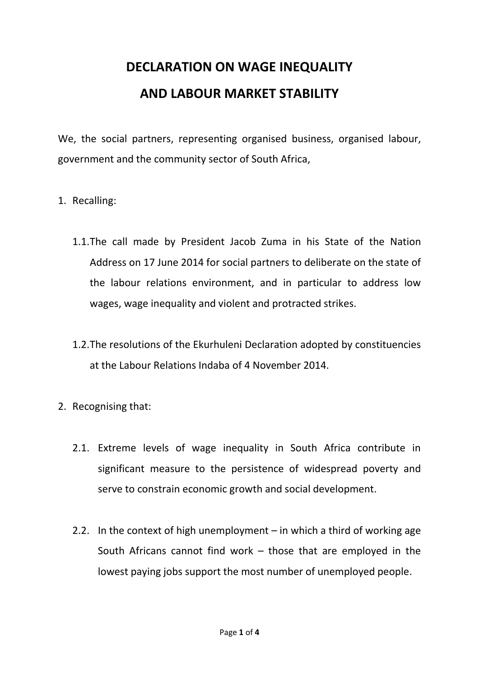## **DECLARATION ON WAGE INEQUALITY AND LABOUR MARKET STABILITY**

We, the social partners, representing organised business, organised labour, government and the community sector of South Africa,

- 1. Recalling:
	- 1.1.The call made by President Jacob Zuma in his State of the Nation Address on 17 June 2014 for social partners to deliberate on the state of the labour relations environment, and in particular to address low wages, wage inequality and violent and protracted strikes.
	- 1.2.The resolutions of the Ekurhuleni Declaration adopted by constituencies at the Labour Relations Indaba of 4 November 2014.
- 2. Recognising that:
	- 2.1. Extreme levels of wage inequality in South Africa contribute in significant measure to the persistence of widespread poverty and serve to constrain economic growth and social development.
	- 2.2. In the context of high unemployment in which a third of working age South Africans cannot find work – those that are employed in the lowest paying jobs support the most number of unemployed people.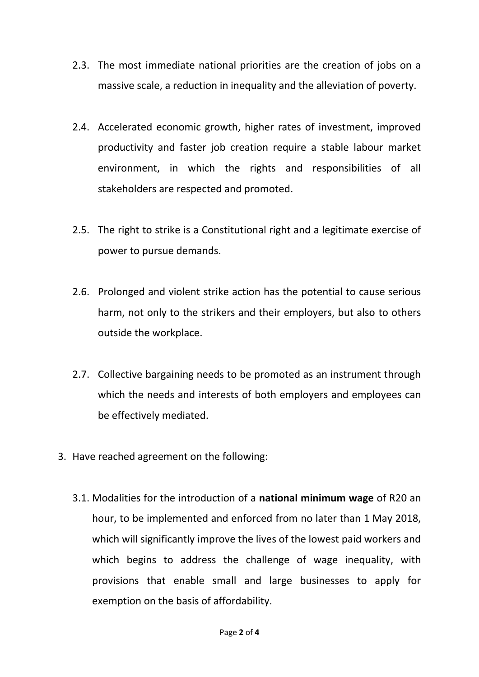- 2.3. The most immediate national priorities are the creation of jobs on a massive scale, a reduction in inequality and the alleviation of poverty.
- 2.4. Accelerated economic growth, higher rates of investment, improved productivity and faster job creation require a stable labour market environment, in which the rights and responsibilities of all stakeholders are respected and promoted.
- 2.5. The right to strike is a Constitutional right and a legitimate exercise of power to pursue demands.
- 2.6. Prolonged and violent strike action has the potential to cause serious harm, not only to the strikers and their employers, but also to others outside the workplace.
- 2.7. Collective bargaining needs to be promoted as an instrument through which the needs and interests of both employers and employees can be effectively mediated.
- 3. Have reached agreement on the following:
	- 3.1. Modalities for the introduction of a **national minimum wage** of R20 an hour, to be implemented and enforced from no later than 1 May 2018, which will significantly improve the lives of the lowest paid workers and which begins to address the challenge of wage inequality, with provisions that enable small and large businesses to apply for exemption on the basis of affordability.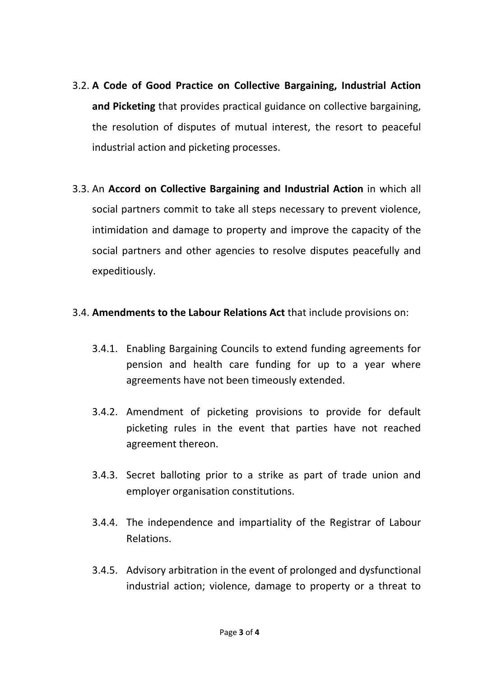- 3.2. **A Code of Good Practice on Collective Bargaining, Industrial Action and Picketing** that provides practical guidance on collective bargaining, the resolution of disputes of mutual interest, the resort to peaceful industrial action and picketing processes.
- 3.3. An **Accord on Collective Bargaining and Industrial Action** in which all social partners commit to take all steps necessary to prevent violence, intimidation and damage to property and improve the capacity of the social partners and other agencies to resolve disputes peacefully and expeditiously.

## 3.4. **Amendments to the Labour Relations Act** that include provisions on:

- 3.4.1. Enabling Bargaining Councils to extend funding agreements for pension and health care funding for up to a year where agreements have not been timeously extended.
- 3.4.2. Amendment of picketing provisions to provide for default picketing rules in the event that parties have not reached agreement thereon.
- 3.4.3. Secret balloting prior to a strike as part of trade union and employer organisation constitutions.
- 3.4.4. The independence and impartiality of the Registrar of Labour Relations.
- 3.4.5. Advisory arbitration in the event of prolonged and dysfunctional industrial action; violence, damage to property or a threat to